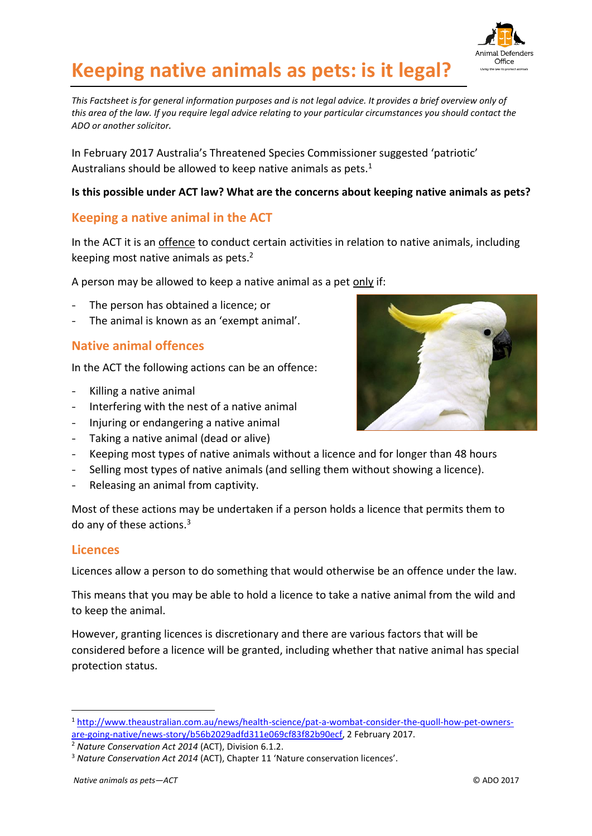

# **Keeping native animals as pets: is it legal?**

*This Factsheet is for general information purposes and is not legal advice. It provides a brief overview only of this area of the law. If you require legal advice relating to your particular circumstances you should contact the ADO or another solicitor.*

In February 2017 Australia's Threatened Species Commissioner suggested 'patriotic' Australians should be allowed to keep native animals as pets. $1$ 

#### **Is this possible under ACT law? What are the concerns about keeping native animals as pets?**

# **Keeping a native animal in the ACT**

In the ACT it is an offence to conduct certain activities in relation to native animals, including keeping most native animals as pets. 2

A person may be allowed to keep a native animal as a pet only if:

- The person has obtained a licence; or
- The animal is known as an 'exempt animal'.

### **Native animal offences**

In the ACT the following actions can be an offence:

- Killing a native animal
- Interfering with the nest of a native animal
- Injuring or endangering a native animal
- Taking a native animal (dead or alive)
- Keeping most types of native animals without a licence and for longer than 48 hours
- Selling most types of native animals (and selling them without showing a licence).
- Releasing an animal from captivity.

Most of these actions may be undertaken if a person holds a licence that permits them to do any of these actions.<sup>3</sup>

#### **Licences**

-

Licences allow a person to do something that would otherwise be an offence under the law.

This means that you may be able to hold a licence to take a native animal from the wild and to keep the animal.

However, granting licences is discretionary and there are various factors that will be considered before a licence will be granted, including whether that native animal has special protection status.

<sup>2</sup> *Nature Conservation Act 2014* (ACT), Division 6.1.2.



<sup>1</sup> [http://www.theaustralian.com.au/news/health-science/pat-a-wombat-consider-the-quoll-how-pet-owners](http://www.theaustralian.com.au/news/health-science/pat-a-wombat-consider-the-quoll-how-pet-owners-are-going-native/news-story/b56b2029adfd311e069cf83f82b90ecf)[are-going-native/news-story/b56b2029adfd311e069cf83f82b90ecf,](http://www.theaustralian.com.au/news/health-science/pat-a-wombat-consider-the-quoll-how-pet-owners-are-going-native/news-story/b56b2029adfd311e069cf83f82b90ecf) 2 February 2017.

<sup>3</sup> *Nature Conservation Act 2014* (ACT), Chapter 11 'Nature conservation licences'.